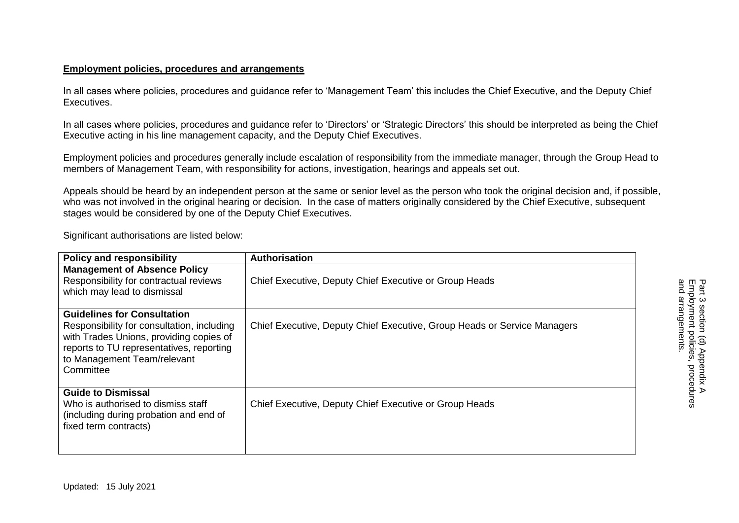In all cases where policies, procedures and guidance refer to 'Management Team' this includes the Chief Executive, and the Deputy Chief Executives.

In all cases where policies, procedures and guidance refer to 'Directors' or 'Strategic Directors' this should be interpreted as being the Chief Executive acting in his line management capacity, and the Deputy Chief Executives.

Employment policies and procedures generally include escalation of responsibility from the immediate manager, through the Group Head to members of Management Team, with responsibility for actions, investigation, hearings and appeals set out.

Appeals should be heard by an independent person at the same or senior level as the person who took the original decision and, if possible, who was not involved in the original hearing or decision. In the case of matters originally considered by the Chief Executive, subsequent stages would be considered by one of the Deputy Chief Executives.

Significant authorisations are listed below:

| <b>Policy and responsibility</b>                                                                                                                                                                                    | Authorisation                                                            |
|---------------------------------------------------------------------------------------------------------------------------------------------------------------------------------------------------------------------|--------------------------------------------------------------------------|
| <b>Management of Absence Policy</b><br>Responsibility for contractual reviews<br>which may lead to dismissal                                                                                                        | Chief Executive, Deputy Chief Executive or Group Heads                   |
| <b>Guidelines for Consultation</b><br>Responsibility for consultation, including<br>with Trades Unions, providing copies of<br>reports to TU representatives, reporting<br>to Management Team/relevant<br>Committee | Chief Executive, Deputy Chief Executive, Group Heads or Service Managers |
| <b>Guide to Dismissal</b><br>Who is authorised to dismiss staff<br>(including during probation and end of<br>fixed term contracts)                                                                                  | Chief Executive, Deputy Chief Executive or Group Heads                   |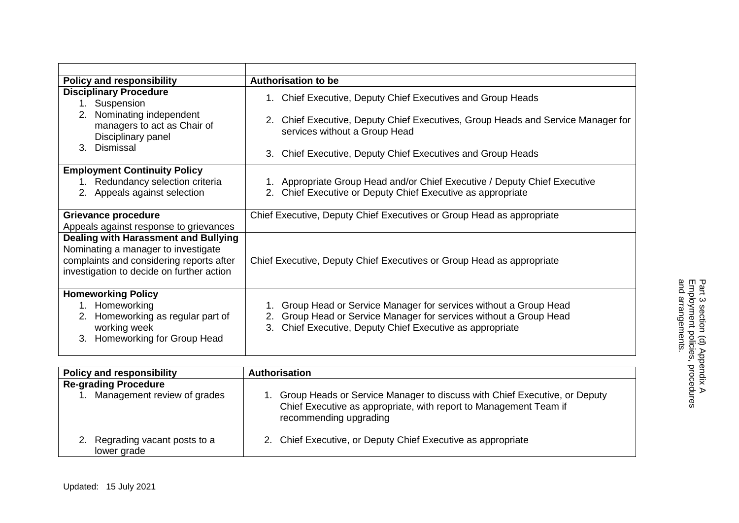| <b>Policy and responsibility</b>                                                                                                                                            | <b>Authorisation to be</b>                                                                                                                                                                                                                      |
|-----------------------------------------------------------------------------------------------------------------------------------------------------------------------------|-------------------------------------------------------------------------------------------------------------------------------------------------------------------------------------------------------------------------------------------------|
| <b>Disciplinary Procedure</b><br>Suspension<br>1.<br>Nominating independent<br>2.<br>managers to act as Chair of<br>Disciplinary panel<br>3. Dismissal                      | 1. Chief Executive, Deputy Chief Executives and Group Heads<br>2. Chief Executive, Deputy Chief Executives, Group Heads and Service Manager for<br>services without a Group Head<br>3. Chief Executive, Deputy Chief Executives and Group Heads |
| <b>Employment Continuity Policy</b><br>Redundancy selection criteria<br>1.<br>2. Appeals against selection                                                                  | 1. Appropriate Group Head and/or Chief Executive / Deputy Chief Executive<br>2. Chief Executive or Deputy Chief Executive as appropriate                                                                                                        |
| Grievance procedure<br>Appeals against response to grievances                                                                                                               | Chief Executive, Deputy Chief Executives or Group Head as appropriate                                                                                                                                                                           |
| <b>Dealing with Harassment and Bullying</b><br>Nominating a manager to investigate<br>complaints and considering reports after<br>investigation to decide on further action | Chief Executive, Deputy Chief Executives or Group Head as appropriate                                                                                                                                                                           |
| <b>Homeworking Policy</b><br>1. Homeworking<br>Homeworking as regular part of<br>2.<br>working week<br>3. Homeworking for Group Head                                        | 1. Group Head or Service Manager for services without a Group Head<br>2. Group Head or Service Manager for services without a Group Head<br>3. Chief Executive, Deputy Chief Executive as appropriate                                           |

| <b>Policy and responsibility</b>           | <b>Authorisation</b>                                                                                                                                                     |
|--------------------------------------------|--------------------------------------------------------------------------------------------------------------------------------------------------------------------------|
| <b>Re-grading Procedure</b>                |                                                                                                                                                                          |
| Management review of grades                | Group Heads or Service Manager to discuss with Chief Executive, or Deputy<br>Chief Executive as appropriate, with report to Management Team if<br>recommending upgrading |
| Regrading vacant posts to a<br>lower grade | 2. Chief Executive, or Deputy Chief Executive as appropriate                                                                                                             |